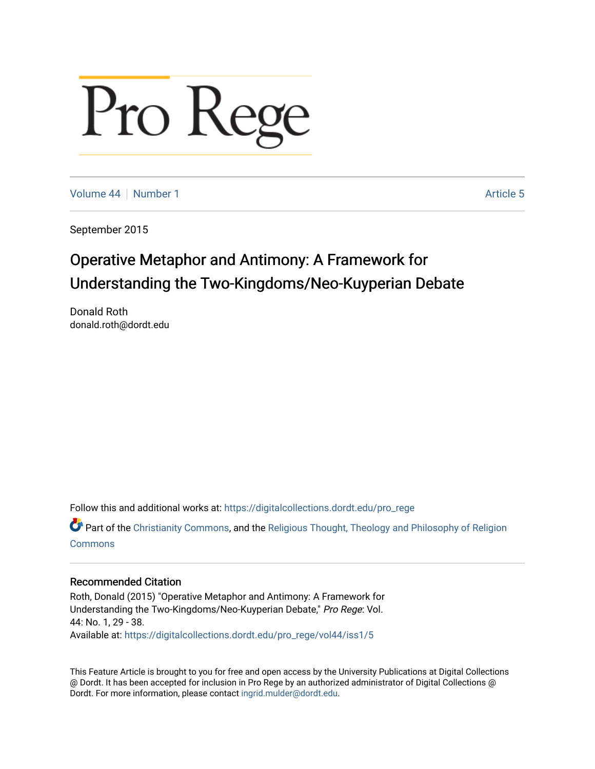# Pro Rege

[Volume 44](https://digitalcollections.dordt.edu/pro_rege/vol44) | [Number 1](https://digitalcollections.dordt.edu/pro_rege/vol44/iss1) Article 5

September 2015

### Operative Metaphor and Antimony: A Framework for Understanding the Two-Kingdoms/Neo-Kuyperian Debate

Donald Roth donald.roth@dordt.edu

Follow this and additional works at: [https://digitalcollections.dordt.edu/pro\\_rege](https://digitalcollections.dordt.edu/pro_rege?utm_source=digitalcollections.dordt.edu%2Fpro_rege%2Fvol44%2Fiss1%2F5&utm_medium=PDF&utm_campaign=PDFCoverPages) 

Part of the [Christianity Commons,](http://network.bepress.com/hgg/discipline/1181?utm_source=digitalcollections.dordt.edu%2Fpro_rege%2Fvol44%2Fiss1%2F5&utm_medium=PDF&utm_campaign=PDFCoverPages) and the Religious Thought, Theology and Philosophy of Religion [Commons](http://network.bepress.com/hgg/discipline/544?utm_source=digitalcollections.dordt.edu%2Fpro_rege%2Fvol44%2Fiss1%2F5&utm_medium=PDF&utm_campaign=PDFCoverPages)

#### Recommended Citation

Roth, Donald (2015) "Operative Metaphor and Antimony: A Framework for Understanding the Two-Kingdoms/Neo-Kuyperian Debate," Pro Rege: Vol. 44: No. 1, 29 - 38. Available at: [https://digitalcollections.dordt.edu/pro\\_rege/vol44/iss1/5](https://digitalcollections.dordt.edu/pro_rege/vol44/iss1/5?utm_source=digitalcollections.dordt.edu%2Fpro_rege%2Fvol44%2Fiss1%2F5&utm_medium=PDF&utm_campaign=PDFCoverPages) 

This Feature Article is brought to you for free and open access by the University Publications at Digital Collections @ Dordt. It has been accepted for inclusion in Pro Rege by an authorized administrator of Digital Collections @ Dordt. For more information, please contact [ingrid.mulder@dordt.edu.](mailto:ingrid.mulder@dordt.edu)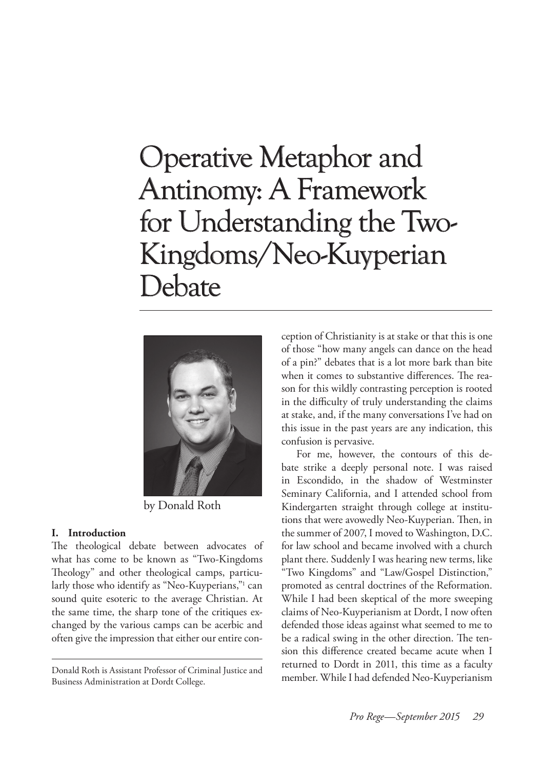## Operative Metaphor and Antinomy: A Framework for Understanding the Two-Kingdoms/Neo-Kuyperian Debate



by Donald Roth

#### **I. Introduction**

The theological debate between advocates of what has come to be known as "Two-Kingdoms Theology" and other theological camps, particularly those who identify as "Neo-Kuyperians,"1 can sound quite esoteric to the average Christian. At the same time, the sharp tone of the critiques exchanged by the various camps can be acerbic and often give the impression that either our entire con-

Donald Roth is Assistant Professor of Criminal Justice and Business Administration at Dordt College.

ception of Christianity is at stake or that this is one of those "how many angels can dance on the head of a pin?" debates that is a lot more bark than bite when it comes to substantive differences. The reason for this wildly contrasting perception is rooted in the difficulty of truly understanding the claims at stake, and, if the many conversations I've had on this issue in the past years are any indication, this confusion is pervasive.

For me, however, the contours of this debate strike a deeply personal note. I was raised in Escondido, in the shadow of Westminster Seminary California, and I attended school from Kindergarten straight through college at institutions that were avowedly Neo-Kuyperian. Then, in the summer of 2007, I moved to Washington, D.C. for law school and became involved with a church plant there. Suddenly I was hearing new terms, like "Two Kingdoms" and "Law/Gospel Distinction," promoted as central doctrines of the Reformation. While I had been skeptical of the more sweeping claims of Neo-Kuyperianism at Dordt, I now often defended those ideas against what seemed to me to be a radical swing in the other direction. The tension this difference created became acute when I returned to Dordt in 2011, this time as a faculty member. While I had defended Neo-Kuyperianism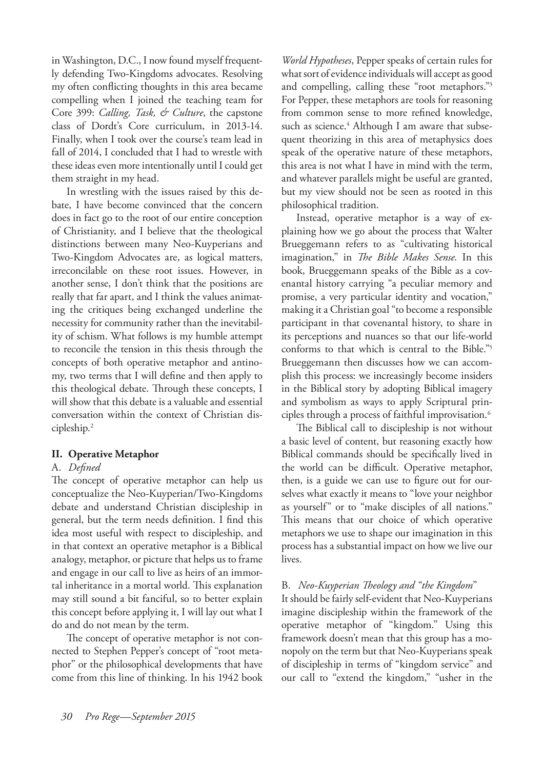in Washington, D.C., I now found myself frequently defending Two-Kingdoms advocates. Resolving my often conflicting thoughts in this area became compelling when I joined the teaching team for Core 399: *Calling, Task, & Culture*, the capstone class of Dordt's Core curriculum, in 2013-14. Finally, when I took over the course's team lead in fall of 2014, I concluded that I had to wrestle with these ideas even more intentionally until I could get them straight in my head.

In wrestling with the issues raised by this debate, I have become convinced that the concern does in fact go to the root of our entire conception of Christianity, and I believe that the theological distinctions between many Neo-Kuyperians and Two-Kingdom Advocates are, as logical matters, irreconcilable on these root issues. However, in another sense, I don't think that the positions are really that far apart, and I think the values animating the critiques being exchanged underline the necessity for community rather than the inevitability of schism. What follows is my humble attempt to reconcile the tension in this thesis through the concepts of both operative metaphor and antinomy, two terms that I will define and then apply to this theological debate. Through these concepts, I will show that this debate is a valuable and essential conversation within the context of Christian discipleship.2

#### **II. Operative Metaphor**

#### A. *Defined*

The concept of operative metaphor can help us conceptualize the Neo-Kuyperian/Two-Kingdoms debate and understand Christian discipleship in general, but the term needs definition. I find this idea most useful with respect to discipleship, and in that context an operative metaphor is a Biblical analogy, metaphor, or picture that helps us to frame and engage in our call to live as heirs of an immortal inheritance in a mortal world. This explanation may still sound a bit fanciful, so to better explain this concept before applying it, I will lay out what I do and do not mean by the term.

The concept of operative metaphor is not connected to Stephen Pepper's concept of "root metaphor" or the philosophical developments that have come from this line of thinking. In his 1942 book

*World Hypotheses*, Pepper speaks of certain rules for what sort of evidence individuals will accept as good and compelling, calling these "root metaphors."3 For Pepper, these metaphors are tools for reasoning from common sense to more refined knowledge, such as science.<sup>4</sup> Although I am aware that subsequent theorizing in this area of metaphysics does speak of the operative nature of these metaphors, this area is not what I have in mind with the term, and whatever parallels might be useful are granted, but my view should not be seen as rooted in this philosophical tradition.

Instead, operative metaphor is a way of explaining how we go about the process that Walter Brueggemann refers to as "cultivating historical imagination," in *The Bible Makes Sense*. In this book, Brueggemann speaks of the Bible as a covenantal history carrying "a peculiar memory and promise, a very particular identity and vocation," making it a Christian goal "to become a responsible participant in that covenantal history, to share in its perceptions and nuances so that our life-world conforms to that which is central to the Bible."5 Brueggemann then discusses how we can accomplish this process: we increasingly become insiders in the Biblical story by adopting Biblical imagery and symbolism as ways to apply Scriptural principles through a process of faithful improvisation.6

The Biblical call to discipleship is not without a basic level of content, but reasoning exactly how Biblical commands should be specifically lived in the world can be difficult. Operative metaphor, then, is a guide we can use to figure out for ourselves what exactly it means to "love your neighbor as yourself" or to "make disciples of all nations." This means that our choice of which operative metaphors we use to shape our imagination in this process has a substantial impact on how we live our lives.

#### B. *Neo-Kuyperian Theology and "the Kingdom*"

It should be fairly self-evident that Neo-Kuyperians imagine discipleship within the framework of the operative metaphor of "kingdom." Using this framework doesn't mean that this group has a monopoly on the term but that Neo-Kuyperians speak of discipleship in terms of "kingdom service" and our call to "extend the kingdom," "usher in the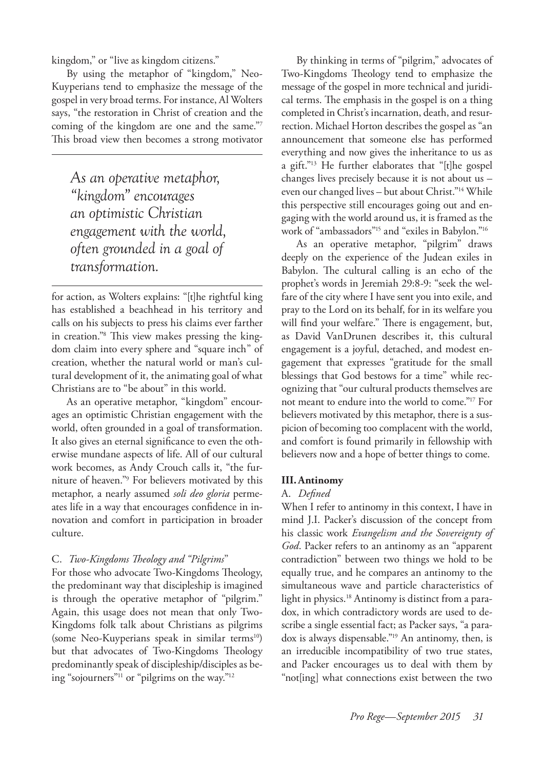kingdom," or "live as kingdom citizens."

By using the metaphor of "kingdom," Neo-Kuyperians tend to emphasize the message of the gospel in very broad terms. For instance, Al Wolters says, "the restoration in Christ of creation and the coming of the kingdom are one and the same."7 This broad view then becomes a strong motivator

*As an operative metaphor, "kingdom" encourages an optimistic Christian engagement with the world, often grounded in a goal of transformation.*

for action, as Wolters explains: "[t]he rightful king has established a beachhead in his territory and calls on his subjects to press his claims ever farther in creation."8 This view makes pressing the kingdom claim into every sphere and "square inch" of creation, whether the natural world or man's cultural development of it, the animating goal of what Christians are to "be about" in this world.

As an operative metaphor, "kingdom" encourages an optimistic Christian engagement with the world, often grounded in a goal of transformation. It also gives an eternal significance to even the otherwise mundane aspects of life. All of our cultural work becomes, as Andy Crouch calls it, "the furniture of heaven."9 For believers motivated by this metaphor, a nearly assumed *soli deo gloria* permeates life in a way that encourages confidence in innovation and comfort in participation in broader culture.

#### C. *Two-Kingdoms Theology and "Pilgrims*"

For those who advocate Two-Kingdoms Theology, the predominant way that discipleship is imagined is through the operative metaphor of "pilgrim." Again, this usage does not mean that only Two-Kingdoms folk talk about Christians as pilgrims (some Neo-Kuyperians speak in similar terms<sup>10</sup>) but that advocates of Two-Kingdoms Theology predominantly speak of discipleship/disciples as being "sojourners"11 or "pilgrims on the way."12

By thinking in terms of "pilgrim," advocates of Two-Kingdoms Theology tend to emphasize the message of the gospel in more technical and juridical terms. The emphasis in the gospel is on a thing completed in Christ's incarnation, death, and resurrection. Michael Horton describes the gospel as "an announcement that someone else has performed everything and now gives the inheritance to us as a gift."13 He further elaborates that "[t]he gospel changes lives precisely because it is not about us – even our changed lives – but about Christ."14 While this perspective still encourages going out and engaging with the world around us, it is framed as the work of "ambassadors"15 and "exiles in Babylon."16

As an operative metaphor, "pilgrim" draws deeply on the experience of the Judean exiles in Babylon. The cultural calling is an echo of the prophet's words in Jeremiah 29:8-9: "seek the welfare of the city where I have sent you into exile, and pray to the Lord on its behalf, for in its welfare you will find your welfare." There is engagement, but, as David VanDrunen describes it, this cultural engagement is a joyful, detached, and modest engagement that expresses "gratitude for the small blessings that God bestows for a time" while recognizing that "our cultural products themselves are not meant to endure into the world to come."17 For believers motivated by this metaphor, there is a suspicion of becoming too complacent with the world, and comfort is found primarily in fellowship with believers now and a hope of better things to come.

#### **III.Antinomy**

#### A. *Defined*

When I refer to antinomy in this context, I have in mind J.I. Packer's discussion of the concept from his classic work *Evangelism and the Sovereignty of God*. Packer refers to an antinomy as an "apparent contradiction" between two things we hold to be equally true, and he compares an antinomy to the simultaneous wave and particle characteristics of light in physics.<sup>18</sup> Antinomy is distinct from a paradox, in which contradictory words are used to describe a single essential fact; as Packer says, "a paradox is always dispensable."19 An antinomy, then, is an irreducible incompatibility of two true states, and Packer encourages us to deal with them by "not[ing] what connections exist between the two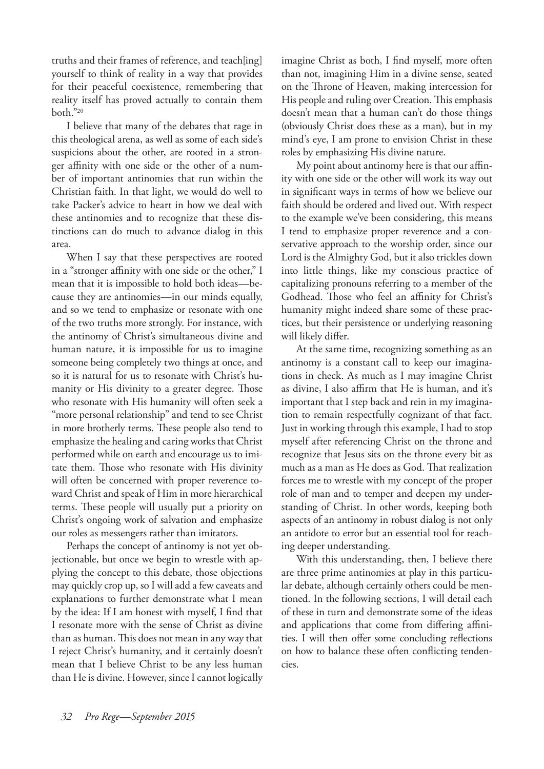truths and their frames of reference, and teach[ing] yourself to think of reality in a way that provides for their peaceful coexistence, remembering that reality itself has proved actually to contain them both."20

I believe that many of the debates that rage in this theological arena, as well as some of each side's suspicions about the other, are rooted in a stronger affinity with one side or the other of a number of important antinomies that run within the Christian faith. In that light, we would do well to take Packer's advice to heart in how we deal with these antinomies and to recognize that these distinctions can do much to advance dialog in this area.

When I say that these perspectives are rooted in a "stronger affinity with one side or the other," I mean that it is impossible to hold both ideas—because they are antinomies—in our minds equally, and so we tend to emphasize or resonate with one of the two truths more strongly. For instance, with the antinomy of Christ's simultaneous divine and human nature, it is impossible for us to imagine someone being completely two things at once, and so it is natural for us to resonate with Christ's humanity or His divinity to a greater degree. Those who resonate with His humanity will often seek a "more personal relationship" and tend to see Christ in more brotherly terms. These people also tend to emphasize the healing and caring works that Christ performed while on earth and encourage us to imitate them. Those who resonate with His divinity will often be concerned with proper reverence toward Christ and speak of Him in more hierarchical terms. These people will usually put a priority on Christ's ongoing work of salvation and emphasize our roles as messengers rather than imitators.

Perhaps the concept of antinomy is not yet objectionable, but once we begin to wrestle with applying the concept to this debate, those objections may quickly crop up, so I will add a few caveats and explanations to further demonstrate what I mean by the idea: If I am honest with myself, I find that I resonate more with the sense of Christ as divine than as human. This does not mean in any way that I reject Christ's humanity, and it certainly doesn't mean that I believe Christ to be any less human than He is divine. However, since I cannot logically

imagine Christ as both, I find myself, more often than not, imagining Him in a divine sense, seated on the Throne of Heaven, making intercession for His people and ruling over Creation. This emphasis doesn't mean that a human can't do those things (obviously Christ does these as a man), but in my mind's eye, I am prone to envision Christ in these roles by emphasizing His divine nature.

My point about antinomy here is that our affinity with one side or the other will work its way out in significant ways in terms of how we believe our faith should be ordered and lived out. With respect to the example we've been considering, this means I tend to emphasize proper reverence and a conservative approach to the worship order, since our Lord is the Almighty God, but it also trickles down into little things, like my conscious practice of capitalizing pronouns referring to a member of the Godhead. Those who feel an affinity for Christ's humanity might indeed share some of these practices, but their persistence or underlying reasoning will likely differ.

At the same time, recognizing something as an antinomy is a constant call to keep our imaginations in check. As much as I may imagine Christ as divine, I also affirm that He is human, and it's important that I step back and rein in my imagination to remain respectfully cognizant of that fact. Just in working through this example, I had to stop myself after referencing Christ on the throne and recognize that Jesus sits on the throne every bit as much as a man as He does as God. That realization forces me to wrestle with my concept of the proper role of man and to temper and deepen my understanding of Christ. In other words, keeping both aspects of an antinomy in robust dialog is not only an antidote to error but an essential tool for reaching deeper understanding.

With this understanding, then, I believe there are three prime antinomies at play in this particular debate, although certainly others could be mentioned. In the following sections, I will detail each of these in turn and demonstrate some of the ideas and applications that come from differing affinities. I will then offer some concluding reflections on how to balance these often conflicting tendencies.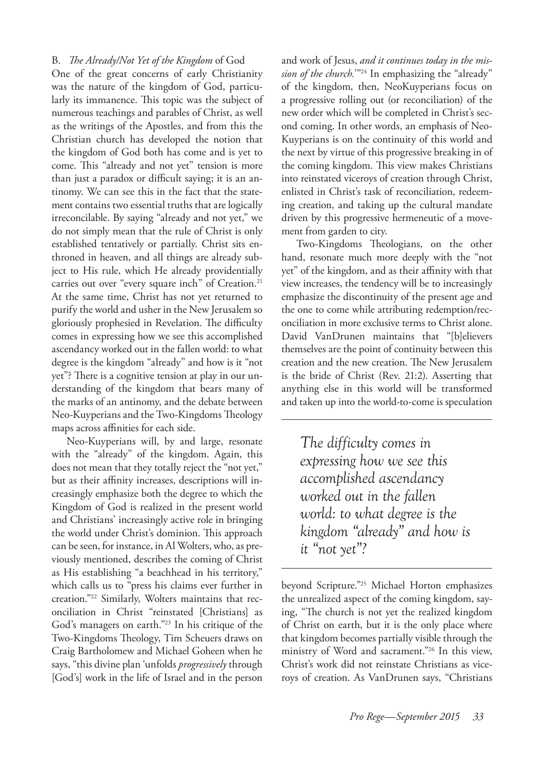#### B. *The Already/Not Yet of the Kingdom* of God

One of the great concerns of early Christianity was the nature of the kingdom of God, particularly its immanence. This topic was the subject of numerous teachings and parables of Christ, as well as the writings of the Apostles, and from this the Christian church has developed the notion that the kingdom of God both has come and is yet to come. This "already and not yet" tension is more than just a paradox or difficult saying; it is an antinomy. We can see this in the fact that the statement contains two essential truths that are logically irreconcilable. By saying "already and not yet," we do not simply mean that the rule of Christ is only established tentatively or partially. Christ sits enthroned in heaven, and all things are already subject to His rule, which He already providentially carries out over "every square inch" of Creation.<sup>21</sup> At the same time, Christ has not yet returned to purify the world and usher in the New Jerusalem so gloriously prophesied in Revelation. The difficulty comes in expressing how we see this accomplished ascendancy worked out in the fallen world: to what degree is the kingdom "already" and how is it "not yet"? There is a cognitive tension at play in our understanding of the kingdom that bears many of the marks of an antinomy, and the debate between Neo-Kuyperians and the Two-Kingdoms Theology maps across affinities for each side.

Neo-Kuyperians will, by and large, resonate with the "already" of the kingdom. Again, this does not mean that they totally reject the "not yet," but as their affinity increases, descriptions will increasingly emphasize both the degree to which the Kingdom of God is realized in the present world and Christians' increasingly active role in bringing the world under Christ's dominion. This approach can be seen, for instance, in Al Wolters, who, as previously mentioned, describes the coming of Christ as His establishing "a beachhead in his territory," which calls us to "press his claims ever further in creation."22 Similarly, Wolters maintains that reconciliation in Christ "reinstated [Christians] as God's managers on earth."23 In his critique of the Two-Kingdoms Theology, Tim Scheuers draws on Craig Bartholomew and Michael Goheen when he says, "this divine plan 'unfolds *progressively* through [God's] work in the life of Israel and in the person

and work of Jesus, *and it continues today in the mission of the church.*"<sup>24</sup> In emphasizing the "already" of the kingdom, then, NeoKuyperians focus on a progressive rolling out (or reconciliation) of the new order which will be completed in Christ's second coming. In other words, an emphasis of Neo-Kuyperians is on the continuity of this world and the next by virtue of this progressive breaking in of the coming kingdom. This view makes Christians into reinstated viceroys of creation through Christ, enlisted in Christ's task of reconciliation, redeeming creation, and taking up the cultural mandate driven by this progressive hermeneutic of a movement from garden to city.

Two-Kingdoms Theologians, on the other hand, resonate much more deeply with the "not yet" of the kingdom, and as their affinity with that view increases, the tendency will be to increasingly emphasize the discontinuity of the present age and the one to come while attributing redemption/reconciliation in more exclusive terms to Christ alone. David VanDrunen maintains that "[b]elievers themselves are the point of continuity between this creation and the new creation. The New Jerusalem is the bride of Christ (Rev. 21:2). Asserting that anything else in this world will be transformed and taken up into the world-to-come is speculation

*The difficulty comes in expressing how we see this accomplished ascendancy worked out in the fallen world: to what degree is the kingdom "already" and how is it "not yet"?*

beyond Scripture."25 Michael Horton emphasizes the unrealized aspect of the coming kingdom, saying, "The church is not yet the realized kingdom of Christ on earth, but it is the only place where that kingdom becomes partially visible through the ministry of Word and sacrament."26 In this view, Christ's work did not reinstate Christians as viceroys of creation. As VanDrunen says, "Christians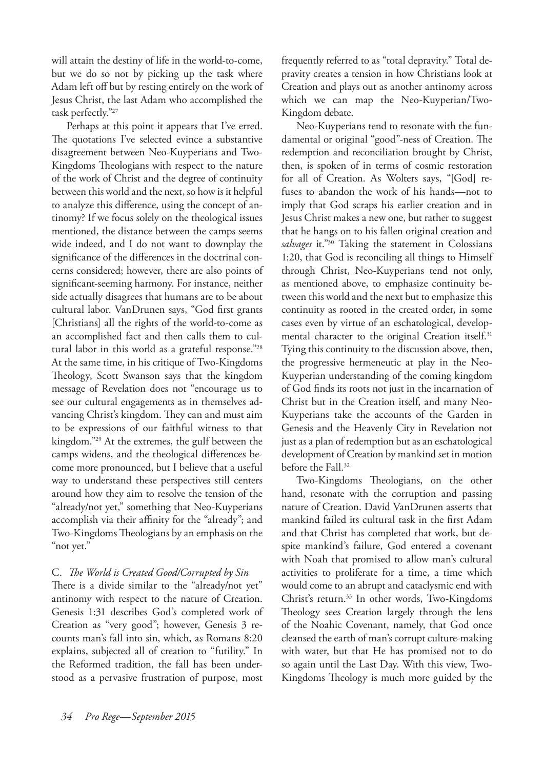will attain the destiny of life in the world-to-come, but we do so not by picking up the task where Adam left off but by resting entirely on the work of Jesus Christ, the last Adam who accomplished the task perfectly."27

Perhaps at this point it appears that I've erred. The quotations I've selected evince a substantive disagreement between Neo-Kuyperians and Two-Kingdoms Theologians with respect to the nature of the work of Christ and the degree of continuity between this world and the next, so how is it helpful to analyze this difference, using the concept of antinomy? If we focus solely on the theological issues mentioned, the distance between the camps seems wide indeed, and I do not want to downplay the significance of the differences in the doctrinal concerns considered; however, there are also points of significant-seeming harmony. For instance, neither side actually disagrees that humans are to be about cultural labor. VanDrunen says, "God first grants [Christians] all the rights of the world-to-come as an accomplished fact and then calls them to cultural labor in this world as a grateful response."28 At the same time, in his critique of Two-Kingdoms Theology, Scott Swanson says that the kingdom message of Revelation does not "encourage us to see our cultural engagements as in themselves advancing Christ's kingdom. They can and must aim to be expressions of our faithful witness to that kingdom."29 At the extremes, the gulf between the camps widens, and the theological differences become more pronounced, but I believe that a useful way to understand these perspectives still centers around how they aim to resolve the tension of the "already/not yet," something that Neo-Kuyperians accomplish via their affinity for the "already"; and Two-Kingdoms Theologians by an emphasis on the "not yet."

#### C. *The World is Created Good/Corrupted by Sin*

There is a divide similar to the "already/not yet" antinomy with respect to the nature of Creation. Genesis 1:31 describes God's completed work of Creation as "very good"; however, Genesis 3 recounts man's fall into sin, which, as Romans 8:20 explains, subjected all of creation to "futility." In the Reformed tradition, the fall has been understood as a pervasive frustration of purpose, most

frequently referred to as "total depravity." Total depravity creates a tension in how Christians look at Creation and plays out as another antinomy across which we can map the Neo-Kuyperian/Two-Kingdom debate.

Neo-Kuyperians tend to resonate with the fundamental or original "good"-ness of Creation. The redemption and reconciliation brought by Christ, then, is spoken of in terms of cosmic restoration for all of Creation. As Wolters says, "[God] refuses to abandon the work of his hands—not to imply that God scraps his earlier creation and in Jesus Christ makes a new one, but rather to suggest that he hangs on to his fallen original creation and *salvages* it."30 Taking the statement in Colossians 1:20, that God is reconciling all things to Himself through Christ, Neo-Kuyperians tend not only, as mentioned above, to emphasize continuity between this world and the next but to emphasize this continuity as rooted in the created order, in some cases even by virtue of an eschatological, developmental character to the original Creation itself.<sup>31</sup> Tying this continuity to the discussion above, then, the progressive hermeneutic at play in the Neo-Kuyperian understanding of the coming kingdom of God finds its roots not just in the incarnation of Christ but in the Creation itself, and many Neo-Kuyperians take the accounts of the Garden in Genesis and the Heavenly City in Revelation not just as a plan of redemption but as an eschatological development of Creation by mankind set in motion before the Fall.<sup>32</sup>

Two-Kingdoms Theologians, on the other hand, resonate with the corruption and passing nature of Creation. David VanDrunen asserts that mankind failed its cultural task in the first Adam and that Christ has completed that work, but despite mankind's failure, God entered a covenant with Noah that promised to allow man's cultural activities to proliferate for a time, a time which would come to an abrupt and cataclysmic end with Christ's return.33 In other words, Two-Kingdoms Theology sees Creation largely through the lens of the Noahic Covenant, namely, that God once cleansed the earth of man's corrupt culture-making with water, but that He has promised not to do so again until the Last Day. With this view, Two-Kingdoms Theology is much more guided by the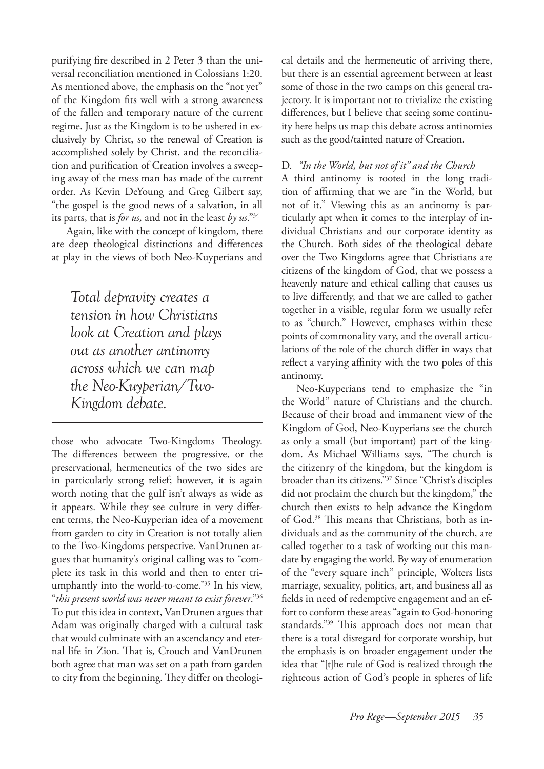purifying fire described in 2 Peter 3 than the universal reconciliation mentioned in Colossians 1:20. As mentioned above, the emphasis on the "not yet" of the Kingdom fits well with a strong awareness of the fallen and temporary nature of the current regime. Just as the Kingdom is to be ushered in exclusively by Christ, so the renewal of Creation is accomplished solely by Christ, and the reconciliation and purification of Creation involves a sweeping away of the mess man has made of the current order. As Kevin DeYoung and Greg Gilbert say, "the gospel is the good news of a salvation, in all its parts, that is *for us,* and not in the least *by us*."34

Again, like with the concept of kingdom, there are deep theological distinctions and differences at play in the views of both Neo-Kuyperians and

*Total depravity creates a tension in how Christians look at Creation and plays out as another antinomy across which we can map the Neo-Kuyperian/Two-Kingdom debate.*

those who advocate Two-Kingdoms Theology. The differences between the progressive, or the preservational, hermeneutics of the two sides are in particularly strong relief; however, it is again worth noting that the gulf isn't always as wide as it appears. While they see culture in very different terms, the Neo-Kuyperian idea of a movement from garden to city in Creation is not totally alien to the Two-Kingdoms perspective. VanDrunen argues that humanity's original calling was to "complete its task in this world and then to enter triumphantly into the world-to-come."35 In his view, "*this present world was never meant to exist forever*."36 To put this idea in context, VanDrunen argues that Adam was originally charged with a cultural task that would culminate with an ascendancy and eternal life in Zion. That is, Crouch and VanDrunen both agree that man was set on a path from garden to city from the beginning. They differ on theological details and the hermeneutic of arriving there, but there is an essential agreement between at least some of those in the two camps on this general trajectory. It is important not to trivialize the existing differences, but I believe that seeing some continuity here helps us map this debate across antinomies such as the good/tainted nature of Creation.

#### D. *"In the World, but not of it" and the Church*

A third antinomy is rooted in the long tradition of affirming that we are "in the World, but not of it." Viewing this as an antinomy is particularly apt when it comes to the interplay of individual Christians and our corporate identity as the Church. Both sides of the theological debate over the Two Kingdoms agree that Christians are citizens of the kingdom of God, that we possess a heavenly nature and ethical calling that causes us to live differently, and that we are called to gather together in a visible, regular form we usually refer to as "church." However, emphases within these points of commonality vary, and the overall articulations of the role of the church differ in ways that reflect a varying affinity with the two poles of this antinomy.

Neo-Kuyperians tend to emphasize the "in the World" nature of Christians and the church. Because of their broad and immanent view of the Kingdom of God, Neo-Kuyperians see the church as only a small (but important) part of the kingdom. As Michael Williams says, "The church is the citizenry of the kingdom, but the kingdom is broader than its citizens."37 Since "Christ's disciples did not proclaim the church but the kingdom," the church then exists to help advance the Kingdom of God.38 This means that Christians, both as individuals and as the community of the church, are called together to a task of working out this mandate by engaging the world. By way of enumeration of the "every square inch" principle, Wolters lists marriage, sexuality, politics, art, and business all as fields in need of redemptive engagement and an effort to conform these areas "again to God-honoring standards."39 This approach does not mean that there is a total disregard for corporate worship, but the emphasis is on broader engagement under the idea that "[t]he rule of God is realized through the righteous action of God's people in spheres of life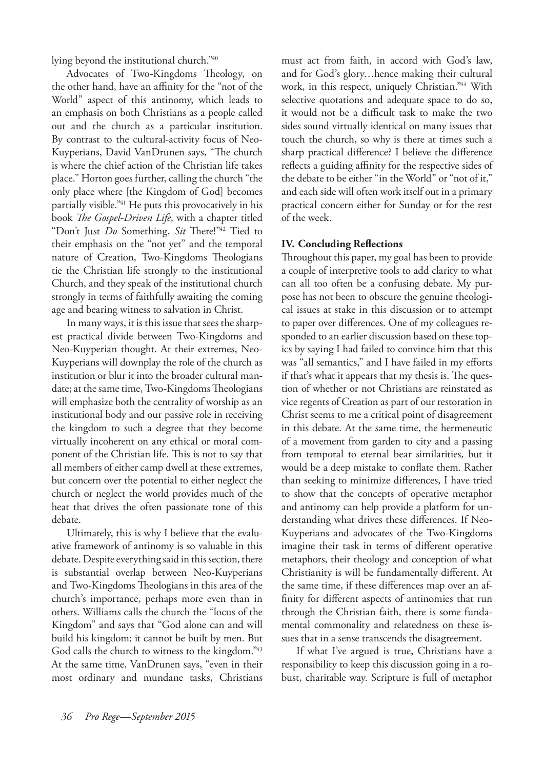lying beyond the institutional church."40

Advocates of Two-Kingdoms Theology, on the other hand, have an affinity for the "not of the World" aspect of this antinomy, which leads to an emphasis on both Christians as a people called out and the church as a particular institution. By contrast to the cultural-activity focus of Neo-Kuyperians, David VanDrunen says, "The church is where the chief action of the Christian life takes place." Horton goes further, calling the church "the only place where [the Kingdom of God] becomes partially visible."<sup>41</sup> He puts this provocatively in his book *The Gospel-Driven Life*, with a chapter titled "Don't Just *Do* Something, *Sit* There!"42 Tied to their emphasis on the "not yet" and the temporal nature of Creation, Two-Kingdoms Theologians tie the Christian life strongly to the institutional Church, and they speak of the institutional church strongly in terms of faithfully awaiting the coming age and bearing witness to salvation in Christ.

In many ways, it is this issue that sees the sharpest practical divide between Two-Kingdoms and Neo-Kuyperian thought. At their extremes, Neo-Kuyperians will downplay the role of the church as institution or blur it into the broader cultural mandate; at the same time, Two-Kingdoms Theologians will emphasize both the centrality of worship as an institutional body and our passive role in receiving the kingdom to such a degree that they become virtually incoherent on any ethical or moral component of the Christian life. This is not to say that all members of either camp dwell at these extremes, but concern over the potential to either neglect the church or neglect the world provides much of the heat that drives the often passionate tone of this debate.

Ultimately, this is why I believe that the evaluative framework of antinomy is so valuable in this debate. Despite everything said in this section, there is substantial overlap between Neo-Kuyperians and Two-Kingdoms Theologians in this area of the church's importance, perhaps more even than in others. Williams calls the church the "locus of the Kingdom" and says that "God alone can and will build his kingdom; it cannot be built by men. But God calls the church to witness to the kingdom."<sup>43</sup> At the same time, VanDrunen says, "even in their most ordinary and mundane tasks, Christians

must act from faith, in accord with God's law, and for God's glory…hence making their cultural work, in this respect, uniquely Christian."44 With selective quotations and adequate space to do so, it would not be a difficult task to make the two sides sound virtually identical on many issues that touch the church, so why is there at times such a sharp practical difference? I believe the difference reflects a guiding affinity for the respective sides of the debate to be either "in the World" or "not of it," and each side will often work itself out in a primary practical concern either for Sunday or for the rest of the week.

#### **IV. Concluding Reflections**

Throughout this paper, my goal has been to provide a couple of interpretive tools to add clarity to what can all too often be a confusing debate. My purpose has not been to obscure the genuine theological issues at stake in this discussion or to attempt to paper over differences. One of my colleagues responded to an earlier discussion based on these topics by saying I had failed to convince him that this was "all semantics," and I have failed in my efforts if that's what it appears that my thesis is. The question of whether or not Christians are reinstated as vice regents of Creation as part of our restoration in Christ seems to me a critical point of disagreement in this debate. At the same time, the hermeneutic of a movement from garden to city and a passing from temporal to eternal bear similarities, but it would be a deep mistake to conflate them. Rather than seeking to minimize differences, I have tried to show that the concepts of operative metaphor and antinomy can help provide a platform for understanding what drives these differences. If Neo-Kuyperians and advocates of the Two-Kingdoms imagine their task in terms of different operative metaphors, their theology and conception of what Christianity is will be fundamentally different. At the same time, if these differences map over an affinity for different aspects of antinomies that run through the Christian faith, there is some fundamental commonality and relatedness on these issues that in a sense transcends the disagreement.

If what I've argued is true, Christians have a responsibility to keep this discussion going in a robust, charitable way. Scripture is full of metaphor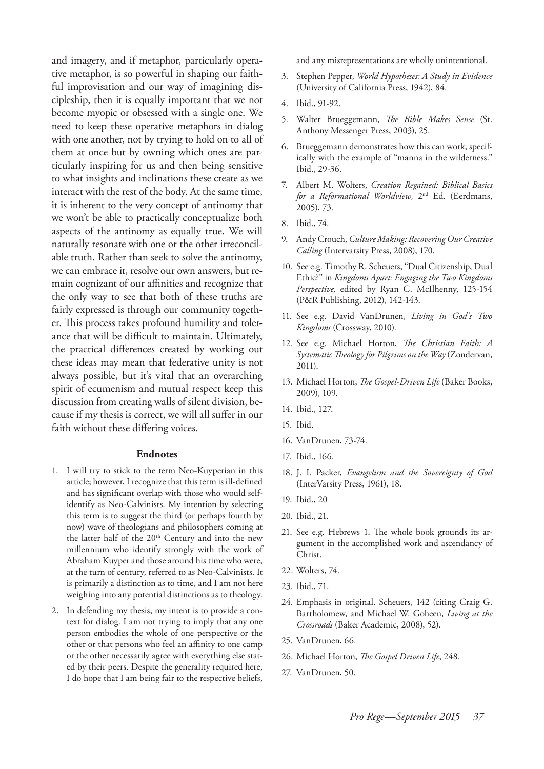and imagery, and if metaphor, particularly operative metaphor, is so powerful in shaping our faithful improvisation and our way of imagining discipleship, then it is equally important that we not become myopic or obsessed with a single one. We need to keep these operative metaphors in dialog with one another, not by trying to hold on to all of them at once but by owning which ones are particularly inspiring for us and then being sensitive to what insights and inclinations these create as we interact with the rest of the body. At the same time, it is inherent to the very concept of antinomy that we won't be able to practically conceptualize both aspects of the antinomy as equally true. We will naturally resonate with one or the other irreconcilable truth. Rather than seek to solve the antinomy, we can embrace it, resolve our own answers, but remain cognizant of our affinities and recognize that the only way to see that both of these truths are fairly expressed is through our community together. This process takes profound humility and tolerance that will be difficult to maintain. Ultimately, the practical differences created by working out these ideas may mean that federative unity is not always possible, but it's vital that an overarching spirit of ecumenism and mutual respect keep this discussion from creating walls of silent division, because if my thesis is correct, we will all suffer in our faith without these differing voices.

#### **Endnotes**

- 1. I will try to stick to the term Neo-Kuyperian in this article; however, I recognize that this term is ill-defined and has significant overlap with those who would selfidentify as Neo-Calvinists. My intention by selecting this term is to suggest the third (or perhaps fourth by now) wave of theologians and philosophers coming at the latter half of the 20<sup>th</sup> Century and into the new millennium who identify strongly with the work of Abraham Kuyper and those around his time who were, at the turn of century, referred to as Neo-Calvinists. It is primarily a distinction as to time, and I am not here weighing into any potential distinctions as to theology.
- 2. In defending my thesis, my intent is to provide a context for dialog. I am not trying to imply that any one person embodies the whole of one perspective or the other or that persons who feel an affinity to one camp or the other necessarily agree with everything else stated by their peers. Despite the generality required here, I do hope that I am being fair to the respective beliefs,

and any misrepresentations are wholly unintentional.

- 3. Stephen Pepper, *World Hypotheses: A Study in Evidence* (University of California Press, 1942), 84.
- 4. Ibid., 91-92.
- 5. Walter Brueggemann, *The Bible Makes Sense* (St. Anthony Messenger Press, 2003), 25.
- 6. Brueggemann demonstrates how this can work, specifically with the example of "manna in the wilderness." Ibid., 29-36.
- 7. Albert M. Wolters, *Creation Regained: Biblical Basics for a Reformational Worldview,* 2nd Ed. (Eerdmans, 2005), 73.
- 8. Ibid., 74.
- 9. Andy Crouch, *Culture Making: Recovering Our Creative Calling* (Intervarsity Press, 2008), 170.
- 10. See e.g. Timothy R. Scheuers, "Dual Citizenship, Dual Ethic?" in *Kingdoms Apart: Engaging the Two Kingdoms Perspective,* edited by Ryan C. McIlhenny, 125-154 (P&R Publishing, 2012), 142-143.
- 11. See e.g. David VanDrunen, *Living in God's Two Kingdoms* (Crossway, 2010).
- 12. See e.g. Michael Horton, *The Christian Faith: A Systematic Theology for Pilgrims on the Way* (Zondervan, 2011).
- 13. Michael Horton, *The Gospel-Driven Life* (Baker Books, 2009), 109.
- 14. Ibid., 127.
- 15. Ibid.
- 16. VanDrunen, 73-74.
- 17. Ibid., 166.
- 18. J. I. Packer, *Evangelism and the Sovereignty of God* (InterVarsity Press, 1961), 18.
- 19. Ibid., 20
- 20. Ibid., 21.
- 21. See e.g. Hebrews 1. The whole book grounds its argument in the accomplished work and ascendancy of Christ.
- 22. Wolters, 74.
- 23. Ibid., 71.
- 24. Emphasis in original. Scheuers, 142 (citing Craig G. Bartholomew, and Michael W. Goheen, *Living at the Crossroads* (Baker Academic, 2008), 52).
- 25. VanDrunen, 66.
- 26. Michael Horton, *The Gospel Driven Life*, 248.
- 27. VanDrunen, 50.